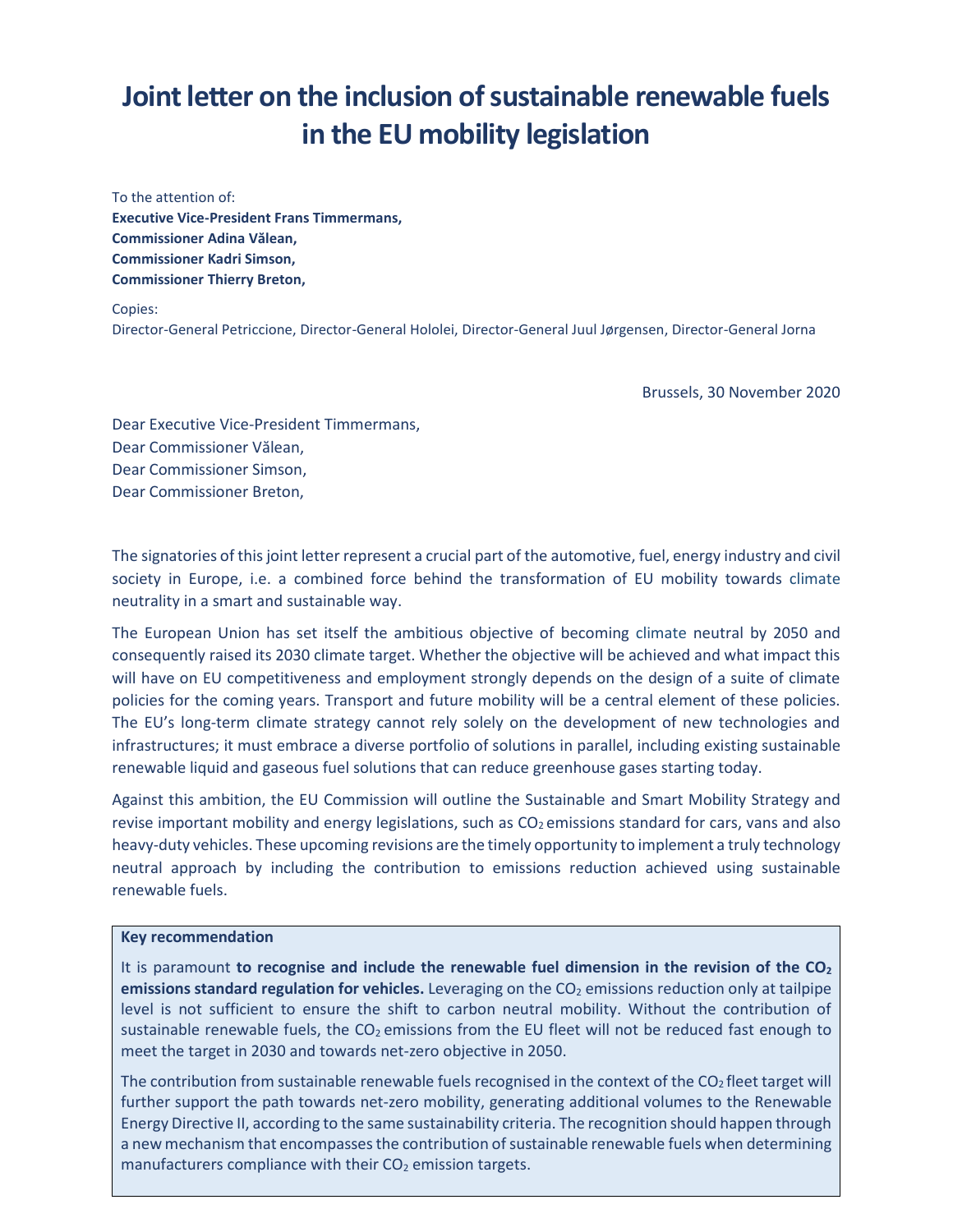# **Joint letter on the inclusion of sustainable renewable fuels in the EU mobility legislation**

To the attention of: **Executive Vice-President Frans Timmermans, Commissioner Adina Vălean, Commissioner Kadri Simson, Commissioner Thierry Breton,**

Copies:

Director-General Petriccione, Director-General Hololei, Director-General Juul Jørgensen, Director-General Jorna

Brussels, 30 November 2020

Dear Executive Vice-President Timmermans, Dear Commissioner Vălean, Dear Commissioner Simson, Dear Commissioner Breton,

The signatories of this joint letter represent a crucial part of the automotive, fuel, energy industry and civil society in Europe, i.e. a combined force behind the transformation of EU mobility towards climate neutrality in a smart and sustainable way.

The European Union has set itself the ambitious objective of becoming climate neutral by 2050 and consequently raised its 2030 climate target. Whether the objective will be achieved and what impact this will have on EU competitiveness and employment strongly depends on the design of a suite of climate policies for the coming years. Transport and future mobility will be a central element of these policies. The EU's long-term climate strategy cannot rely solely on the development of new technologies and infrastructures; it must embrace a diverse portfolio of solutions in parallel, including existing sustainable renewable liquid and gaseous fuel solutions that can reduce greenhouse gases starting today.

Against this ambition, the EU Commission will outline the Sustainable and Smart Mobility Strategy and revise important mobility and energy legislations, such as  $CO<sub>2</sub>$  emissions standard for cars, vans and also heavy-duty vehicles. These upcoming revisions are the timely opportunity to implement a truly technology neutral approach by including the contribution to emissions reduction achieved using sustainable renewable fuels.

#### **Key recommendation**

It is paramount **to recognise and include the renewable fuel dimension in the revision of the CO<sup>2</sup> emissions standard regulation for vehicles.** Leveraging on the CO<sub>2</sub> emissions reduction only at tailpipe level is not sufficient to ensure the shift to carbon neutral mobility. Without the contribution of sustainable renewable fuels, the  $CO<sub>2</sub>$  emissions from the EU fleet will not be reduced fast enough to meet the target in 2030 and towards net-zero objective in 2050.

The contribution from sustainable renewable fuels recognised in the context of the CO<sub>2</sub> fleet target will further support the path towards net-zero mobility, generating additional volumes to the Renewable Energy Directive II, according to the same sustainability criteria. The recognition should happen through a new mechanism that encompasses the contribution of sustainable renewable fuels when determining manufacturers compliance with their  $CO<sub>2</sub>$  emission targets.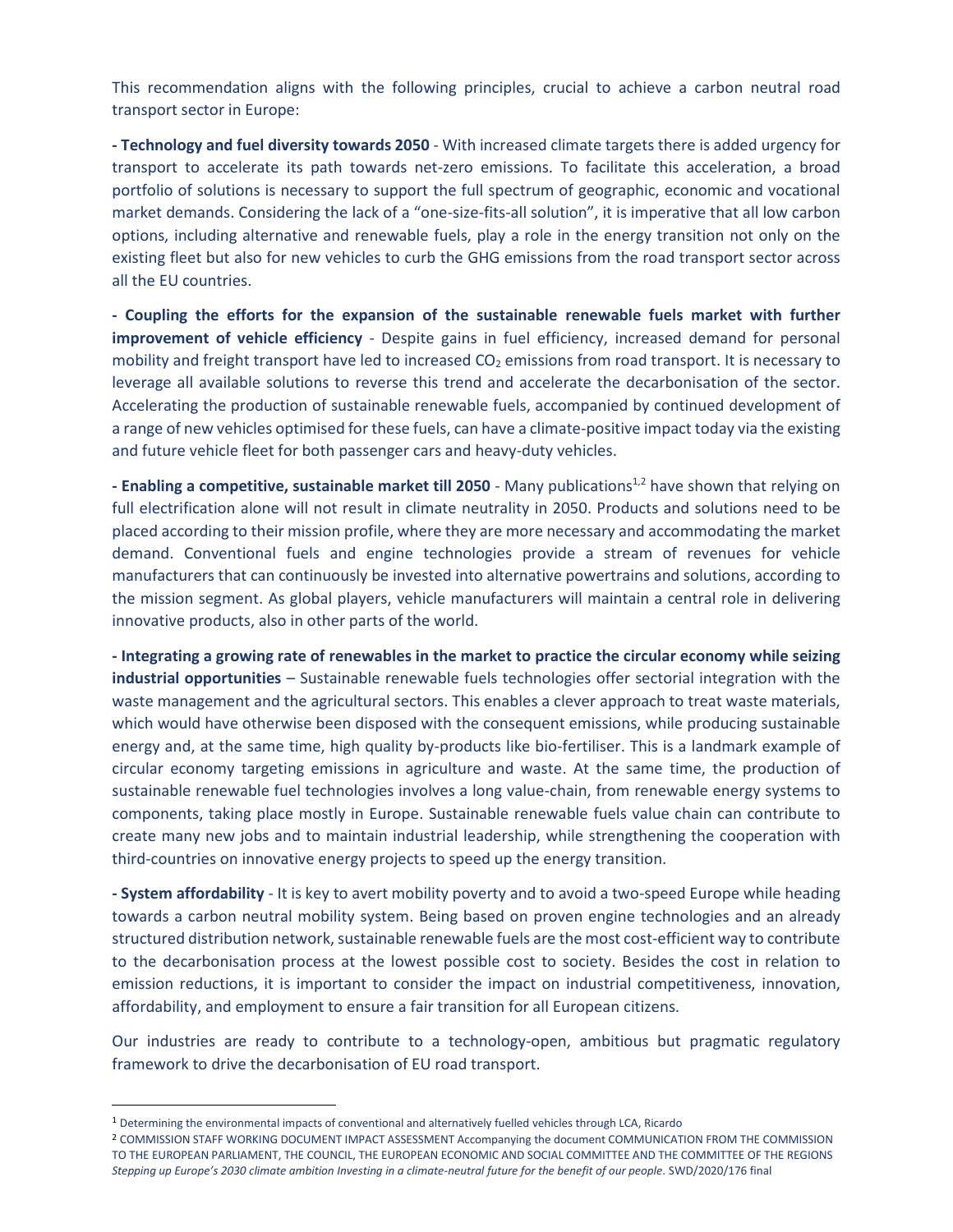This recommendation aligns with the following principles, crucial to achieve a carbon neutral road transport sector in Europe:

**- Technology and fuel diversity towards 2050** - With increased climate targets there is added urgency for transport to accelerate its path towards net-zero emissions. To facilitate this acceleration, a broad portfolio of solutions is necessary to support the full spectrum of geographic, economic and vocational market demands. Considering the lack of a "one-size-fits-all solution", it is imperative that all low carbon options, including alternative and renewable fuels, play a role in the energy transition not only on the existing fleet but also for new vehicles to curb the GHG emissions from the road transport sector across all the EU countries.

**- Coupling the efforts for the expansion of the sustainable renewable fuels market with further improvement of vehicle efficiency** - Despite gains in fuel efficiency, increased demand for personal mobility and freight transport have led to increased CO<sub>2</sub> emissions from road transport. It is necessary to leverage all available solutions to reverse this trend and accelerate the decarbonisation of the sector. Accelerating the production of sustainable renewable fuels, accompanied by continued development of a range of new vehicles optimised for these fuels, can have a climate-positive impact today via the existing and future vehicle fleet for both passenger cars and heavy-duty vehicles.

**- Enabling a competitive, sustainable market till 2050** - Many publications1,2 have shown that relying on full electrification alone will not result in climate neutrality in 2050. Products and solutions need to be placed according to their mission profile, where they are more necessary and accommodating the market demand. Conventional fuels and engine technologies provide a stream of revenues for vehicle manufacturers that can continuously be invested into alternative powertrains and solutions, according to the mission segment. As global players, vehicle manufacturers will maintain a central role in delivering innovative products, also in other parts of the world.

**- Integrating a growing rate of renewables in the market to practice the circular economy while seizing industrial opportunities** – Sustainable renewable fuels technologies offer sectorial integration with the waste management and the agricultural sectors. This enables a clever approach to treat waste materials, which would have otherwise been disposed with the consequent emissions, while producing sustainable energy and, at the same time, high quality by-products like bio-fertiliser. This is a landmark example of circular economy targeting emissions in agriculture and waste. At the same time, the production of sustainable renewable fuel technologies involves a long value-chain, from renewable energy systems to components, taking place mostly in Europe. Sustainable renewable fuels value chain can contribute to create many new jobs and to maintain industrial leadership, while strengthening the cooperation with third-countries on innovative energy projects to speed up the energy transition.

**- System affordability** - It is key to avert mobility poverty and to avoid a two-speed Europe while heading towards a carbon neutral mobility system. Being based on proven engine technologies and an already structured distribution network, sustainable renewable fuels are the most cost-efficient way to contribute to the decarbonisation process at the lowest possible cost to society. Besides the cost in relation to emission reductions, it is important to consider the impact on industrial competitiveness, innovation, affordability, and employment to ensure a fair transition for all European citizens.

Our industries are ready to contribute to a technology-open, ambitious but pragmatic regulatory framework to drive the decarbonisation of EU road transport.

<sup>1</sup> Determining the environmental impacts of conventional and alternatively fuelled vehicles through LCA, Ricardo

<sup>2</sup> COMMISSION STAFF WORKING DOCUMENT IMPACT ASSESSMENT Accompanying the document COMMUNICATION FROM THE COMMISSION TO THE EUROPEAN PARLIAMENT, THE COUNCIL, THE EUROPEAN ECONOMIC AND SOCIAL COMMITTEE AND THE COMMITTEE OF THE REGIONS *Stepping up Europe's 2030 climate ambition Investing in a climate-neutral future for the benefit of our people*. SWD/2020/176 final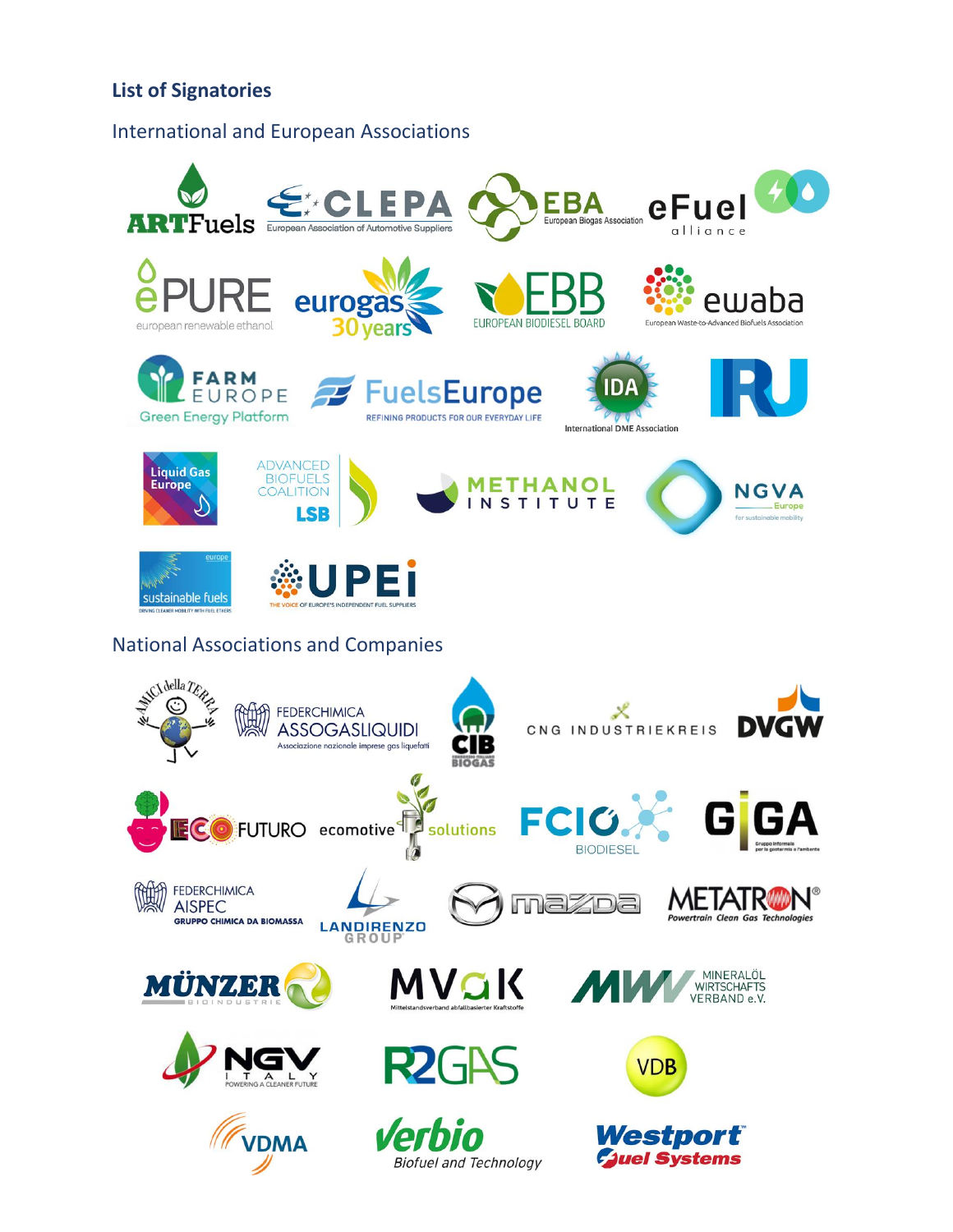# **List of Signatories**

## International and European Associations